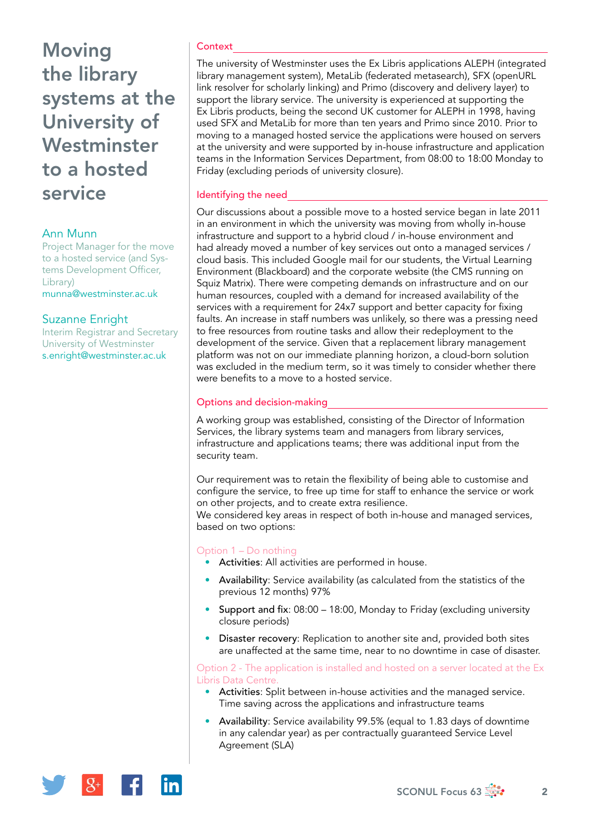# **Moving** the library systems at the University of Westminster to a hosted service

## Ann Munn

Project Manager for the move to a hosted service (and Systems Development Officer, Library) [munna@westminster.ac.uk](mailto:munna@westminster.ac.uk)

## Suzanne Enright

Interim Registrar and Secretary University of Westminster [s.enright@westminster.ac.uk](mailto:s.enright@westminster.ac.uk)

#### **Context**

The university of Westminster uses the Ex Libris applications ALEPH (integrated library management system), MetaLib (federated metasearch), SFX (openURL link resolver for scholarly linking) and Primo (discovery and delivery layer) to support the library service. The university is experienced at supporting the Ex Libris products, being the second UK customer for ALEPH in 1998, having used SFX and MetaLib for more than ten years and Primo since 2010. Prior to moving to a managed hosted service the applications were housed on servers at the university and were supported by in-house infrastructure and application teams in the Information Services Department, from 08:00 to 18:00 Monday to Friday (excluding periods of university closure).

#### Identifying the need

Our discussions about a possible move to a hosted service began in late 2011 in an environment in which the university was moving from wholly in-house infrastructure and support to a hybrid cloud / in-house environment and had already moved a number of key services out onto a managed services / cloud basis. This included Google mail for our students, the Virtual Learning Environment (Blackboard) and the corporate website (the CMS running on Squiz Matrix). There were competing demands on infrastructure and on our human resources, coupled with a demand for increased availability of the services with a requirement for 24x7 support and better capacity for fixing faults. An increase in staff numbers was unlikely, so there was a pressing need to free resources from routine tasks and allow their redeployment to the development of the service. Given that a replacement library management platform was not on our immediate planning horizon, a cloud-born solution was excluded in the medium term, so it was timely to consider whether there were benefits to a move to a hosted service.

#### Options and decision-making

A working group was established, consisting of the Director of Information Services, the library systems team and managers from library services, infrastructure and applications teams; there was additional input from the security team.

Our requirement was to retain the flexibility of being able to customise and configure the service, to free up time for staff to enhance the service or work on other projects, and to create extra resilience.

We considered key areas in respect of both in-house and managed services, based on two options:

# Option 1 – Do nothing

- Activities: All activities are performed in house.
- Availability: Service availability (as calculated from the statistics of the previous 12 months) 97%
- Support and fix: 08:00 18:00, Monday to Friday (excluding university closure periods)
- Disaster recovery: Replication to another site and, provided both sites are unaffected at the same time, near to no downtime in case of disaster.

Option 2 - The application is installed and hosted on a server located at the Ex Libris Data Centre.

- Activities: Split between in-house activities and the managed service. Time saving across the applications and infrastructure teams
- Availability: Service availability 99.5% (equal to 1.83 days of downtime in any calendar year) as per contractually guaranteed Service Level Agreement (SLA)

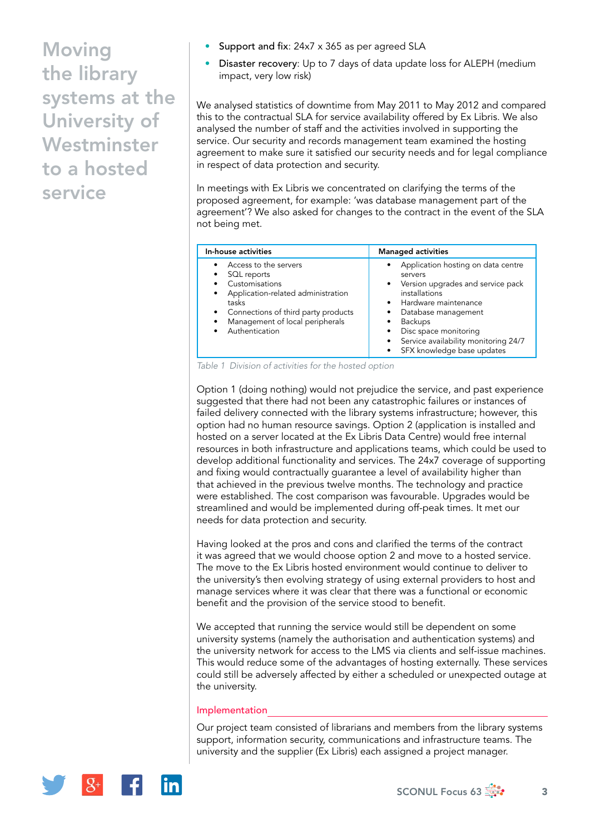**Moving** the library systems at the University of **Westminster** to a hosted service

- Support and fix: 24x7 x 365 as per agreed SLA
- Disaster recovery: Up to 7 days of data update loss for ALEPH (medium impact, very low risk)

We analysed statistics of downtime from May 2011 to May 2012 and compared this to the contractual SLA for service availability offered by Ex Libris. We also analysed the number of staff and the activities involved in supporting the service. Our security and records management team examined the hosting agreement to make sure it satisfied our security needs and for legal compliance in respect of data protection and security.

In meetings with Ex Libris we concentrated on clarifying the terms of the proposed agreement, for example: 'was database management part of the agreement'? We also asked for changes to the contract in the event of the SLA not being met.

| In-house activities                                                                                                                                                                                                                                   | <b>Managed activities</b>                                                                                                                                                                                                                                               |
|-------------------------------------------------------------------------------------------------------------------------------------------------------------------------------------------------------------------------------------------------------|-------------------------------------------------------------------------------------------------------------------------------------------------------------------------------------------------------------------------------------------------------------------------|
| Access to the servers<br>$\bullet$<br>SQL reports<br>Customisations<br>Application-related administration<br>$\bullet$<br>tasks<br>Connections of third party products<br>$\bullet$<br>Management of local peripherals<br>$\bullet$<br>Authentication | Application hosting on data centre<br>servers<br>• Version upgrades and service pack<br>installations<br>• Hardware maintenance<br>Database management<br><b>Backups</b><br>Disc space monitoring<br>Service availability monitoring 24/7<br>SFX knowledge base updates |

*Table 1 Division of activities for the hosted option*

Option 1 (doing nothing) would not prejudice the service, and past experience suggested that there had not been any catastrophic failures or instances of failed delivery connected with the library systems infrastructure; however, this option had no human resource savings. Option 2 (application is installed and hosted on a server located at the Ex Libris Data Centre) would free internal resources in both infrastructure and applications teams, which could be used to develop additional functionality and services. The 24x7 coverage of supporting and fixing would contractually guarantee a level of availability higher than that achieved in the previous twelve months. The technology and practice were established. The cost comparison was favourable. Upgrades would be streamlined and would be implemented during off-peak times. It met our needs for data protection and security.

Having looked at the pros and cons and clarified the terms of the contract it was agreed that we would choose option 2 and move to a hosted service. The move to the Ex Libris hosted environment would continue to deliver to the university's then evolving strategy of using external providers to host and manage services where it was clear that there was a functional or economic benefit and the provision of the service stood to benefit.

We accepted that running the service would still be dependent on some university systems (namely the authorisation and authentication systems) and the university network for access to the LMS via clients and self-issue machines. This would reduce some of the advantages of hosting externally. These services could still be adversely affected by either a scheduled or unexpected outage at the university.

#### Implementation

Our project team consisted of librarians and members from the library systems support, information security, communications and infrastructure teams. The university and the supplier (Ex Libris) each assigned a project manager.

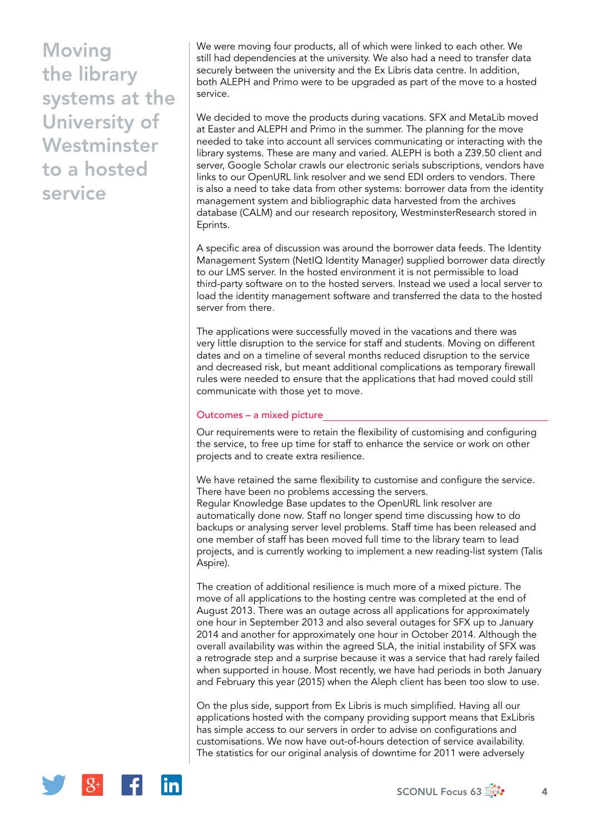**Moving** the library systems at the University of **Westminster** to a hosted service

We were moving four products, all of which were linked to each other. We still had dependencies at the university. We also had a need to transfer data securely between the university and the Ex Libris data centre. In addition, both ALEPH and Primo were to be upgraded as part of the move to a hosted service.

We decided to move the products during vacations. SFX and MetaLib moved at Easter and ALEPH and Primo in the summer. The planning for the move needed to take into account all services communicating or interacting with the library systems. These are many and varied. ALEPH is both a Z39.50 client and server, Google Scholar crawls our electronic serials subscriptions, vendors have links to our OpenURL link resolver and we send EDI orders to vendors. There is also a need to take data from other systems: borrower data from the identity management system and bibliographic data harvested from the archives database (CALM) and our research repository, WestminsterResearch stored in Eprints.

A specific area of discussion was around the borrower data feeds. The Identity Management System (NetIQ Identity Manager) supplied borrower data directly to our LMS server. In the hosted environment it is not permissible to load third-party software on to the hosted servers. Instead we used a local server to load the identity management software and transferred the data to the hosted server from there.

The applications were successfully moved in the vacations and there was very little disruption to the service for staff and students. Moving on different dates and on a timeline of several months reduced disruption to the service and decreased risk, but meant additional complications as temporary firewall rules were needed to ensure that the applications that had moved could still communicate with those yet to move.

#### Outcomes – a mixed picture

Our requirements were to retain the flexibility of customising and configuring the service, to free up time for staff to enhance the service or work on other projects and to create extra resilience.

We have retained the same flexibility to customise and configure the service. There have been no problems accessing the servers.

Regular Knowledge Base updates to the OpenURL link resolver are automatically done now. Staff no longer spend time discussing how to do backups or analysing server level problems. Staff time has been released and one member of staff has been moved full time to the library team to lead projects, and is currently working to implement a new reading-list system (Talis Aspire).

The creation of additional resilience is much more of a mixed picture. The move of all applications to the hosting centre was completed at the end of August 2013. There was an outage across all applications for approximately one hour in September 2013 and also several outages for SFX up to January 2014 and another for approximately one hour in October 2014. Although the overall availability was within the agreed SLA, the initial instability of SFX was a retrograde step and a surprise because it was a service that had rarely failed when supported in house. Most recently, we have had periods in both January and February this year (2015) when the Aleph client has been too slow to use.

On the plus side, support from Ex Libris is much simplified. Having all our applications hosted with the company providing support means that ExLibris has simple access to our servers in order to advise on configurations and customisations. We now have out-of-hours detection of service availability. The statistics for our original analysis of downtime for 2011 were adversely